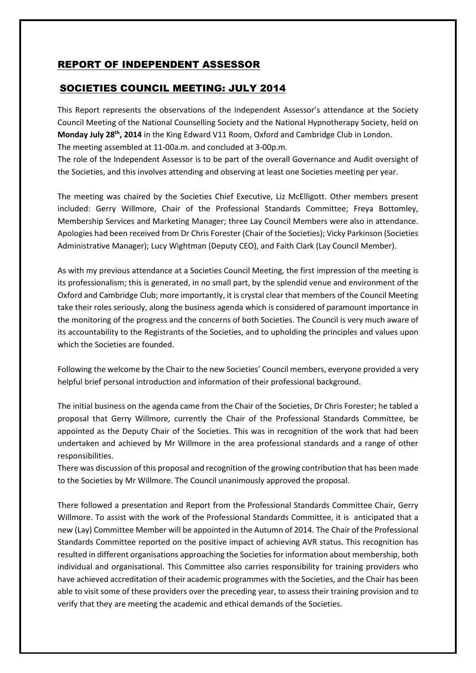## REPORT OF INDEPENDENT ASSESSOR

## SOCIETIES COUNCIL MEETING: JULY 2014

This Report represents the observations of the Independent Assessor's attendance at the Society Council Meeting of the National Counselling Society and the National Hypnotherapy Society, held on Monday July 28<sup>th</sup>, 2014 in the King Edward V11 Room, Oxford and Cambridge Club in London. The meeting assembled at 11-00a.m. and concluded at 3-00p.m.

The role of the Independent Assessor is to be part of the overall Governance and Audit oversight of the Societies, and this involves attending and observing at least one Societies meeting per year.

The meeting was chaired by the Societies Chief Executive, Liz McElligott. Other members present included: Gerry Willmore, Chair of the Professional Standards Committee; Freya Bottomley, Membership Services and Marketing Manager; three Lay Council Members were also in attendance. Apologies had been received from Dr Chris Forester (Chair of the Societies); Vicky Parkinson (Societies Administrative Manager); Lucy Wightman (Deputy CEO), and Faith Clark (Lay Council Member).

As with my previous attendance at a Societies Council Meeting, the first impression of the meeting is its professionalism; this is generated, in no small part, by the splendid venue and environment of the Oxford and Cambridge Club; more importantly, it is crystal clear that members of the Council Meeting take their roles seriously, along the business agenda which is considered of paramount importance in the monitoring of the progress and the concerns of both Societies. The Council is very much aware of its accountability to the Registrants of the Societies, and to upholding the principles and values upon which the Societies are founded.

Following the welcome by the Chair to the new Societies' Council members, everyone provided a very helpful brief personal introduction and information of their professional background.

The initial business on the agenda came from the Chair of the Societies, Dr Chris Forester; he tabled a proposal that Gerry Willmore, currently the Chair of the Professional Standards Committee, be appointed as the Deputy Chair of the Societies. This was in recognition of the work that had been undertaken and achieved by Mr Willmore in the area professional standards and a range of other responsibilities.

There was discussion of this proposal and recognition of the growing contribution that has been made to the Societies by Mr Willmore. The Council unanimously approved the proposal.

There followed a presentation and Report from the Professional Standards Committee Chair, Gerry Willmore. To assist with the work of the Professional Standards Committee, it is anticipated that a new (Lay) Committee Member will be appointed in the Autumn of 2014. The Chair of the Professional Standards Committee reported on the positive impact of achieving AVR status. This recognition has resulted in different organisations approaching the Societies for information about membership, both individual and organisational. This Committee also carries responsibility for training providers who have achieved accreditation of their academic programmes with the Societies, and the Chair has been able to visit some of these providers over the preceding year, to assess their training provision and to verify that they are meeting the academic and ethical demands of the Societies.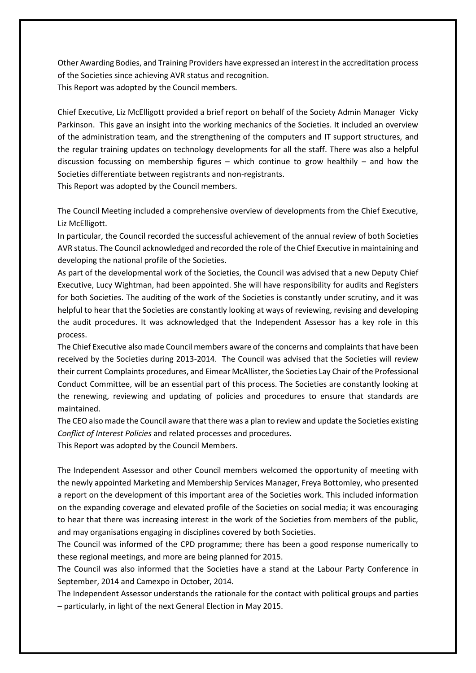Other Awarding Bodies, and Training Providers have expressed an interest in the accreditation process of the Societies since achieving AVR status and recognition. This Report was adopted by the Council members.

Chief Executive, Liz McElligott provided a brief report on behalf of the Society Admin Manager Vicky Parkinson. This gave an insight into the working mechanics of the Societies. It included an overview of the administration team, and the strengthening of the computers and IT support structures, and the regular training updates on technology developments for all the staff. There was also a helpful discussion focussing on membership figures – which continue to grow healthily – and how the Societies differentiate between registrants and non-registrants.

This Report was adopted by the Council members.

The Council Meeting included a comprehensive overview of developments from the Chief Executive, Liz McElligott.

In particular, the Council recorded the successful achievement of the annual review of both Societies AVR status. The Council acknowledged and recorded the role of the Chief Executive in maintaining and developing the national profile of the Societies.

As part of the developmental work of the Societies, the Council was advised that a new Deputy Chief Executive, Lucy Wightman, had been appointed. She will have responsibility for audits and Registers for both Societies. The auditing of the work of the Societies is constantly under scrutiny, and it was helpful to hear that the Societies are constantly looking at ways of reviewing, revising and developing the audit procedures. It was acknowledged that the Independent Assessor has a key role in this process.

The Chief Executive also made Council members aware of the concerns and complaints that have been received by the Societies during 2013-2014. The Council was advised that the Societies will review their current Complaints procedures, and Eimear McAllister, the Societies Lay Chair of the Professional Conduct Committee, will be an essential part of this process. The Societies are constantly looking at the renewing, reviewing and updating of policies and procedures to ensure that standards are maintained.

The CEO also made the Council aware that there was a plan to review and update the Societies existing *Conflict of Interest Policies* and related processes and procedures.

This Report was adopted by the Council Members.

The Independent Assessor and other Council members welcomed the opportunity of meeting with the newly appointed Marketing and Membership Services Manager, Freya Bottomley, who presented a report on the development of this important area of the Societies work. This included information on the expanding coverage and elevated profile of the Societies on social media; it was encouraging to hear that there was increasing interest in the work of the Societies from members of the public, and may organisations engaging in disciplines covered by both Societies.

The Council was informed of the CPD programme; there has been a good response numerically to these regional meetings, and more are being planned for 2015.

The Council was also informed that the Societies have a stand at the Labour Party Conference in September, 2014 and Camexpo in October, 2014.

The Independent Assessor understands the rationale for the contact with political groups and parties – particularly, in light of the next General Election in May 2015.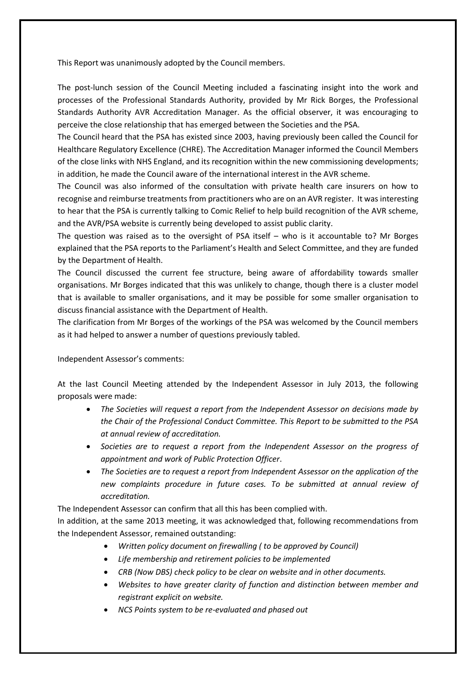This Report was unanimously adopted by the Council members.

The post-lunch session of the Council Meeting included a fascinating insight into the work and processes of the Professional Standards Authority, provided by Mr Rick Borges, the Professional Standards Authority AVR Accreditation Manager. As the official observer, it was encouraging to perceive the close relationship that has emerged between the Societies and the PSA.

The Council heard that the PSA has existed since 2003, having previously been called the Council for Healthcare Regulatory Excellence (CHRE). The Accreditation Manager informed the Council Members of the close links with NHS England, and its recognition within the new commissioning developments; in addition, he made the Council aware of the international interest in the AVR scheme.

The Council was also informed of the consultation with private health care insurers on how to recognise and reimburse treatments from practitioners who are on an AVR register. It was interesting to hear that the PSA is currently talking to Comic Relief to help build recognition of the AVR scheme, and the AVR/PSA website is currently being developed to assist public clarity.

The question was raised as to the oversight of PSA itself – who is it accountable to? Mr Borges explained that the PSA reports to the Parliament's Health and Select Committee, and they are funded by the Department of Health.

The Council discussed the current fee structure, being aware of affordability towards smaller organisations. Mr Borges indicated that this was unlikely to change, though there is a cluster model that is available to smaller organisations, and it may be possible for some smaller organisation to discuss financial assistance with the Department of Health.

The clarification from Mr Borges of the workings of the PSA was welcomed by the Council members as it had helped to answer a number of questions previously tabled.

Independent Assessor's comments:

At the last Council Meeting attended by the Independent Assessor in July 2013, the following proposals were made:

- *The Societies will request a report from the Independent Assessor on decisions made by the Chair of the Professional Conduct Committee. This Report to be submitted to the PSA at annual review of accreditation.*
- *Societies are to request a report from the Independent Assessor on the progress of appointment and work of Public Protection Officer*.
- *The Societies are to request a report from Independent Assessor on the application of the new complaints procedure in future cases. To be submitted at annual review of accreditation.*

The Independent Assessor can confirm that all this has been complied with.

In addition, at the same 2013 meeting, it was acknowledged that, following recommendations from the Independent Assessor, remained outstanding:

- *Written policy document on firewalling ( to be approved by Council)*
- *Life membership and retirement policies to be implemented*
- *CRB (Now DBS) check policy to be clear on website and in other documents.*
- *Websites to have greater clarity of function and distinction between member and registrant explicit on website.*
- *NCS Points system to be re-evaluated and phased out*